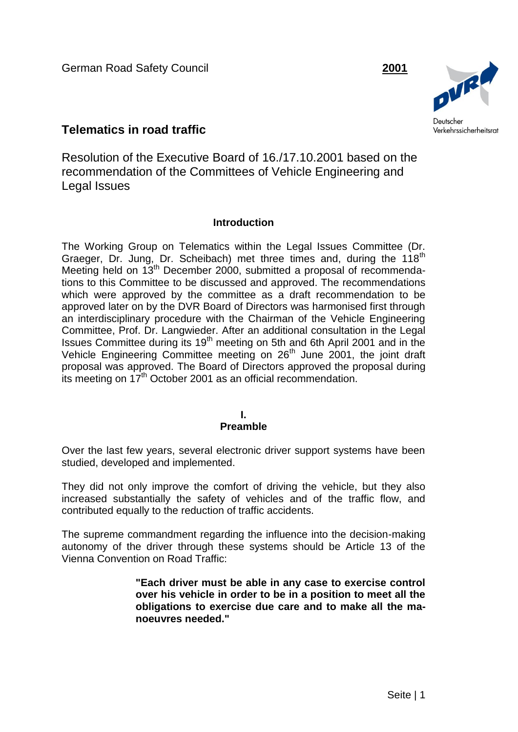German Road Safety Council **2001**



# **Telematics in road traffic**

Resolution of the Executive Board of 16./17.10.2001 based on the recommendation of the Committees of Vehicle Engineering and Legal Issues

# **Introduction**

The Working Group on Telematics within the Legal Issues Committee (Dr. Graeger, Dr. Jung, Dr. Scheibach) met three times and, during the 118<sup>th</sup> Meeting held on 13<sup>th</sup> December 2000, submitted a proposal of recommendations to this Committee to be discussed and approved. The recommendations which were approved by the committee as a draft recommendation to be approved later on by the DVR Board of Directors was harmonised first through an interdisciplinary procedure with the Chairman of the Vehicle Engineering Committee, Prof. Dr. Langwieder. After an additional consultation in the Legal Issues Committee during its 19<sup>th</sup> meeting on 5th and 6th April 2001 and in the Vehicle Engineering Committee meeting on 26<sup>th</sup> June 2001, the joint draft proposal was approved. The Board of Directors approved the proposal during its meeting on 17th October 2001 as an official recommendation.

# **I.**

# **Preamble**

Over the last few years, several electronic driver support systems have been studied, developed and implemented.

They did not only improve the comfort of driving the vehicle, but they also increased substantially the safety of vehicles and of the traffic flow, and contributed equally to the reduction of traffic accidents.

The supreme commandment regarding the influence into the decision-making autonomy of the driver through these systems should be Article 13 of the Vienna Convention on Road Traffic:

> **"Each driver must be able in any case to exercise control over his vehicle in order to be in a position to meet all the obligations to exercise due care and to make all the manoeuvres needed."**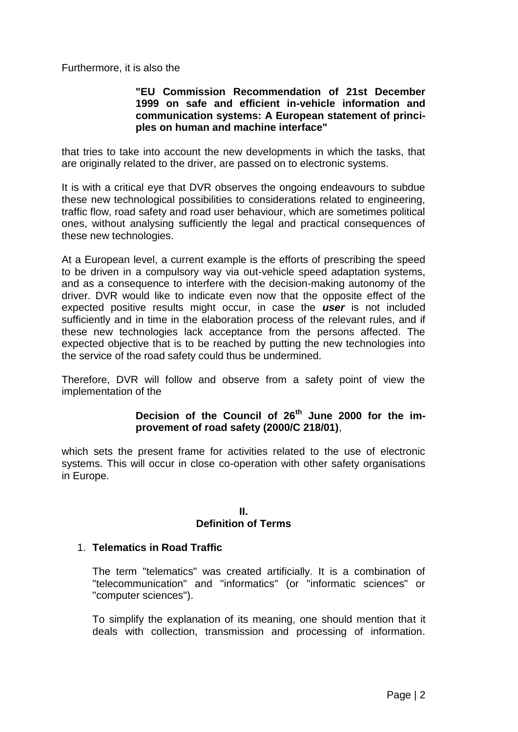Furthermore, it is also the

### **"EU Commission Recommendation of 21st December 1999 on safe and efficient in-vehicle information and communication systems: A European statement of principles on human and machine interface"**

that tries to take into account the new developments in which the tasks, that are originally related to the driver, are passed on to electronic systems.

It is with a critical eye that DVR observes the ongoing endeavours to subdue these new technological possibilities to considerations related to engineering, traffic flow, road safety and road user behaviour, which are sometimes political ones, without analysing sufficiently the legal and practical consequences of these new technologies.

At a European level, a current example is the efforts of prescribing the speed to be driven in a compulsory way via out-vehicle speed adaptation systems, and as a consequence to interfere with the decision-making autonomy of the driver. DVR would like to indicate even now that the opposite effect of the expected positive results might occur, in case the *user* is not included sufficiently and in time in the elaboration process of the relevant rules, and if these new technologies lack acceptance from the persons affected. The expected objective that is to be reached by putting the new technologies into the service of the road safety could thus be undermined.

Therefore, DVR will follow and observe from a safety point of view the implementation of the

### **Decision of the Council of 26th June 2000 for the improvement of road safety (2000/C 218/01)**,

which sets the present frame for activities related to the use of electronic systems. This will occur in close co-operation with other safety organisations in Europe.

#### **II.**

#### **Definition of Terms**

### 1. **Telematics in Road Traffic**

The term "telematics" was created artificially. It is a combination of "telecommunication" and "informatics" (or "informatic sciences" or "computer sciences").

To simplify the explanation of its meaning, one should mention that it deals with collection, transmission and processing of information.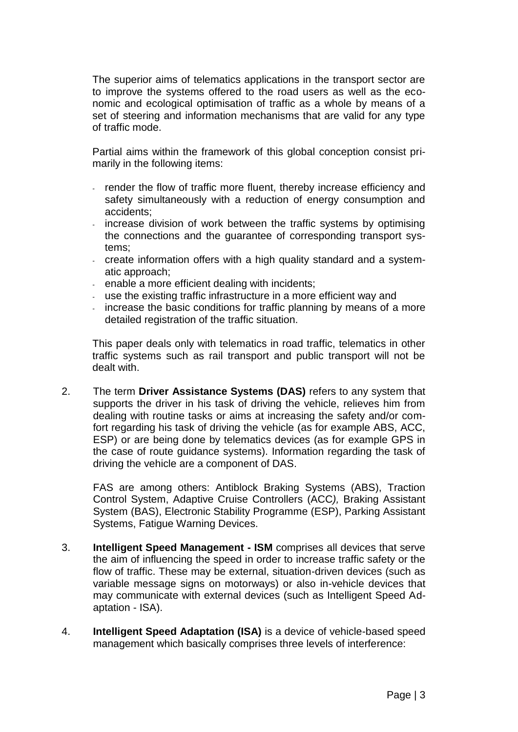The superior aims of telematics applications in the transport sector are to improve the systems offered to the road users as well as the economic and ecological optimisation of traffic as a whole by means of a set of steering and information mechanisms that are valid for any type of traffic mode.

Partial aims within the framework of this global conception consist primarily in the following items:

- render the flow of traffic more fluent, thereby increase efficiency and safety simultaneously with a reduction of energy consumption and accidents;
- increase division of work between the traffic systems by optimising the connections and the guarantee of corresponding transport systems;
- create information offers with a high quality standard and a systematic approach;
- enable a more efficient dealing with incidents;
- use the existing traffic infrastructure in a more efficient way and
- increase the basic conditions for traffic planning by means of a more detailed registration of the traffic situation.

This paper deals only with telematics in road traffic, telematics in other traffic systems such as rail transport and public transport will not be dealt with.

2. The term **Driver Assistance Systems (DAS)** refers to any system that supports the driver in his task of driving the vehicle, relieves him from dealing with routine tasks or aims at increasing the safety and/or comfort regarding his task of driving the vehicle (as for example ABS, ACC, ESP) or are being done by telematics devices (as for example GPS in the case of route guidance systems). Information regarding the task of driving the vehicle are a component of DAS.

FAS are among others: Antiblock Braking Systems (ABS), Traction Control System, Adaptive Cruise Controllers (ACC*),* Braking Assistant System (BAS), Electronic Stability Programme (ESP), Parking Assistant Systems, Fatigue Warning Devices.

- 3. **Intelligent Speed Management - ISM** comprises all devices that serve the aim of influencing the speed in order to increase traffic safety or the flow of traffic. These may be external, situation-driven devices (such as variable message signs on motorways) or also in-vehicle devices that may communicate with external devices (such as Intelligent Speed Adaptation - ISA).
- 4. **Intelligent Speed Adaptation (ISA)** is a device of vehicle-based speed management which basically comprises three levels of interference: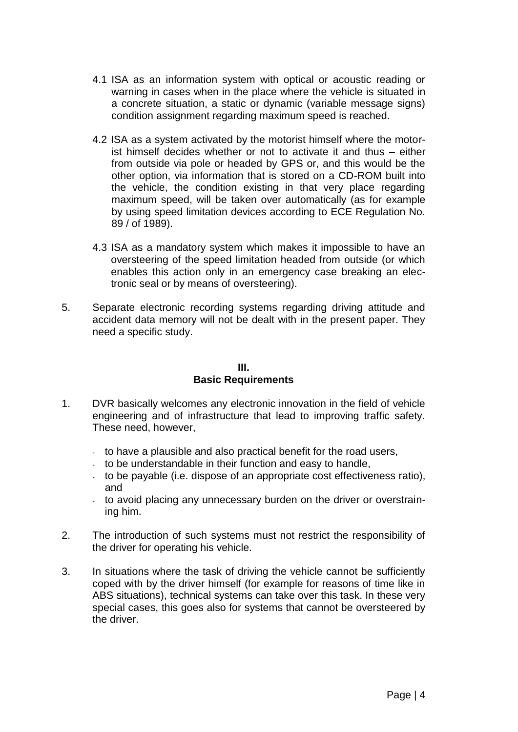- 4.1 ISA as an information system with optical or acoustic reading or warning in cases when in the place where the vehicle is situated in a concrete situation, a static or dynamic (variable message signs) condition assignment regarding maximum speed is reached.
- 4.2 ISA as a system activated by the motorist himself where the motorist himself decides whether or not to activate it and thus – either from outside via pole or headed by GPS or, and this would be the other option, via information that is stored on a CD-ROM built into the vehicle, the condition existing in that very place regarding maximum speed, will be taken over automatically (as for example by using speed limitation devices according to ECE Regulation No. 89 / of 1989).
- 4.3 ISA as a mandatory system which makes it impossible to have an oversteering of the speed limitation headed from outside (or which enables this action only in an emergency case breaking an electronic seal or by means of oversteering).
- 5. Separate electronic recording systems regarding driving attitude and accident data memory will not be dealt with in the present paper. They need a specific study.

### **III. Basic Requirements**

- 1. DVR basically welcomes any electronic innovation in the field of vehicle engineering and of infrastructure that lead to improving traffic safety. These need, however,
	- to have a plausible and also practical benefit for the road users,
	- to be understandable in their function and easy to handle,
	- to be payable (i.e. dispose of an appropriate cost effectiveness ratio), and
	- to avoid placing any unnecessary burden on the driver or overstraining him.
- 2. The introduction of such systems must not restrict the responsibility of the driver for operating his vehicle.
- 3. In situations where the task of driving the vehicle cannot be sufficiently coped with by the driver himself (for example for reasons of time like in ABS situations), technical systems can take over this task. In these very special cases, this goes also for systems that cannot be oversteered by the driver.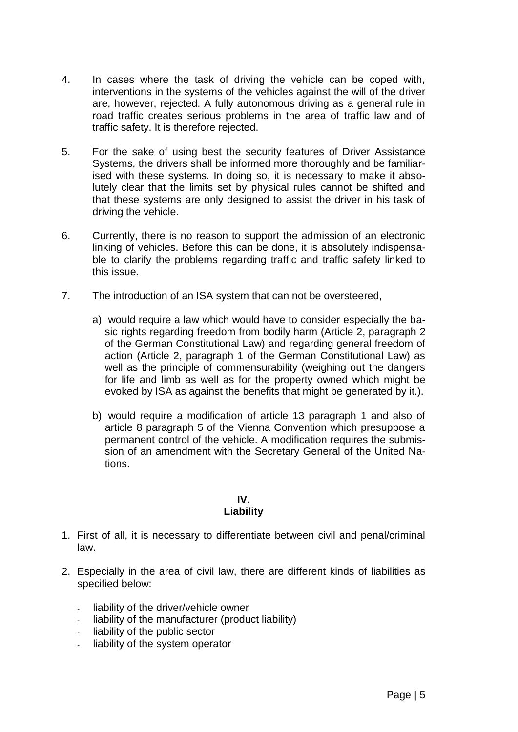- 4. In cases where the task of driving the vehicle can be coped with, interventions in the systems of the vehicles against the will of the driver are, however, rejected. A fully autonomous driving as a general rule in road traffic creates serious problems in the area of traffic law and of traffic safety. It is therefore rejected.
- 5. For the sake of using best the security features of Driver Assistance Systems, the drivers shall be informed more thoroughly and be familiarised with these systems. In doing so, it is necessary to make it absolutely clear that the limits set by physical rules cannot be shifted and that these systems are only designed to assist the driver in his task of driving the vehicle.
- 6. Currently, there is no reason to support the admission of an electronic linking of vehicles. Before this can be done, it is absolutely indispensable to clarify the problems regarding traffic and traffic safety linked to this issue.
- 7. The introduction of an ISA system that can not be oversteered,
	- a) would require a law which would have to consider especially the basic rights regarding freedom from bodily harm (Article 2, paragraph 2 of the German Constitutional Law) and regarding general freedom of action (Article 2, paragraph 1 of the German Constitutional Law) as well as the principle of commensurability (weighing out the dangers for life and limb as well as for the property owned which might be evoked by ISA as against the benefits that might be generated by it.).
	- b) would require a modification of article 13 paragraph 1 and also of article 8 paragraph 5 of the Vienna Convention which presuppose a permanent control of the vehicle. A modification requires the submission of an amendment with the Secretary General of the United Nations.

**IV.**

# **Liability**

- 1. First of all, it is necessary to differentiate between civil and penal/criminal law.
- 2. Especially in the area of civil law, there are different kinds of liabilities as specified below:
	- liability of the driver/vehicle owner
	- liability of the manufacturer (product liability)
	- liability of the public sector
	- liability of the system operator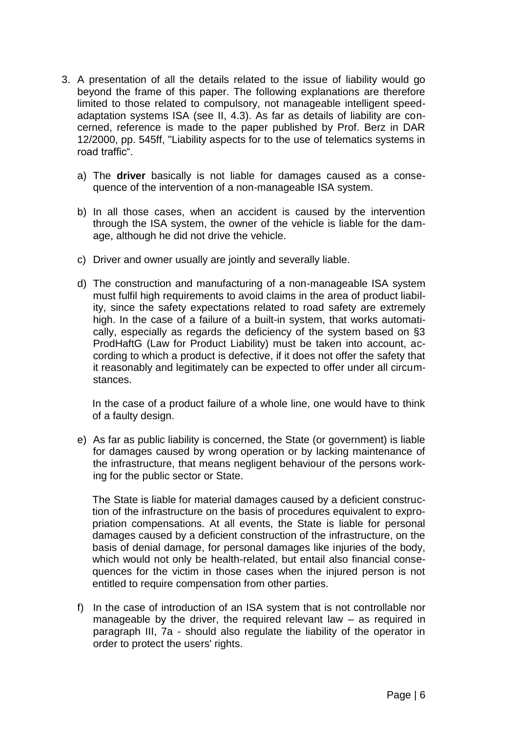- 3. A presentation of all the details related to the issue of liability would go beyond the frame of this paper. The following explanations are therefore limited to those related to compulsory, not manageable intelligent speedadaptation systems ISA (see II, 4.3). As far as details of liability are concerned, reference is made to the paper published by Prof. Berz in DAR 12/2000, pp. 545ff, "Liability aspects for to the use of telematics systems in road traffic".
	- a) The **driver** basically is not liable for damages caused as a consequence of the intervention of a non-manageable ISA system.
	- b) In all those cases, when an accident is caused by the intervention through the ISA system, the owner of the vehicle is liable for the damage, although he did not drive the vehicle.
	- c) Driver and owner usually are jointly and severally liable.
	- d) The construction and manufacturing of a non-manageable ISA system must fulfil high requirements to avoid claims in the area of product liability, since the safety expectations related to road safety are extremely high. In the case of a failure of a built-in system, that works automatically, especially as regards the deficiency of the system based on §3 ProdHaftG (Law for Product Liability) must be taken into account, according to which a product is defective, if it does not offer the safety that it reasonably and legitimately can be expected to offer under all circumstances.

In the case of a product failure of a whole line, one would have to think of a faulty design.

e) As far as public liability is concerned, the State (or government) is liable for damages caused by wrong operation or by lacking maintenance of the infrastructure, that means negligent behaviour of the persons working for the public sector or State.

The State is liable for material damages caused by a deficient construction of the infrastructure on the basis of procedures equivalent to expropriation compensations. At all events, the State is liable for personal damages caused by a deficient construction of the infrastructure, on the basis of denial damage, for personal damages like injuries of the body, which would not only be health-related, but entail also financial consequences for the victim in those cases when the injured person is not entitled to require compensation from other parties.

f) In the case of introduction of an ISA system that is not controllable nor manageable by the driver, the required relevant law – as required in paragraph III, 7a - should also regulate the liability of the operator in order to protect the users' rights.